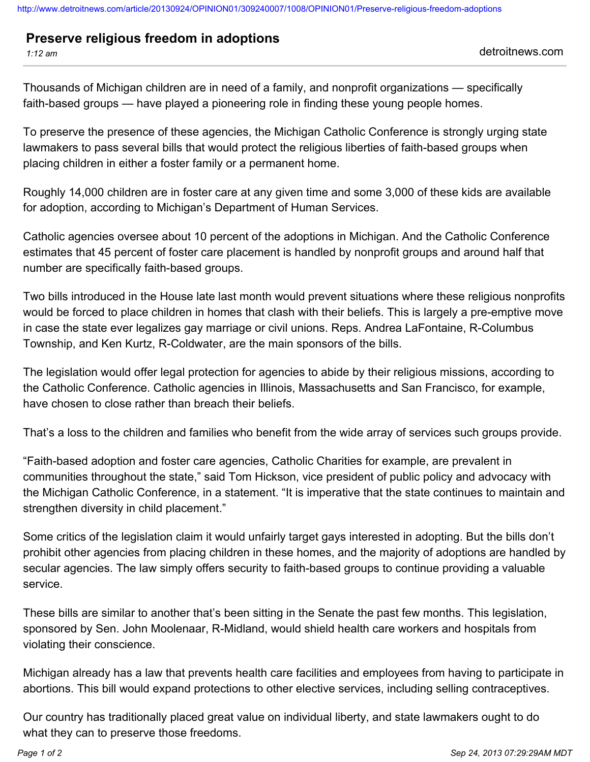<http://www.detroitnews.com/article/20130924/OPINION01/309240007/1008/OPINION01/Preserve-religious-freedom-adoptions>

## **Preserve religious freedom in adoptions**

*1:12 am* detroitnews.com

Thousands of Michigan children are in need of a family, and nonprofit organizations — specifically faith-based groups — have played a pioneering role in finding these young people homes.

To preserve the presence of these agencies, the Michigan Catholic Conference is strongly urging state lawmakers to pass several bills that would protect the religious liberties of faith-based groups when placing children in either a foster family or a permanent home.

Roughly 14,000 children are in foster care at any given time and some 3,000 of these kids are available for adoption, according to Michigan's Department of Human Services.

Catholic agencies oversee about 10 percent of the adoptions in Michigan. And the Catholic Conference estimates that 45 percent of foster care placement is handled by nonprofit groups and around half that number are specifically faith-based groups.

Two bills introduced in the House late last month would prevent situations where these religious nonprofits would be forced to place children in homes that clash with their beliefs. This is largely a pre-emptive move in case the state ever legalizes gay marriage or civil unions. Reps. Andrea LaFontaine, R-Columbus Township, and Ken Kurtz, R-Coldwater, are the main sponsors of the bills.

The legislation would offer legal protection for agencies to abide by their religious missions, according to the Catholic Conference. Catholic agencies in Illinois, Massachusetts and San Francisco, for example, have chosen to close rather than breach their beliefs.

That's a loss to the children and families who benefit from the wide array of services such groups provide.

"Faith-based adoption and foster care agencies, Catholic Charities for example, are prevalent in communities throughout the state," said Tom Hickson, vice president of public policy and advocacy with the Michigan Catholic Conference, in a statement. "It is imperative that the state continues to maintain and strengthen diversity in child placement."

Some critics of the legislation claim it would unfairly target gays interested in adopting. But the bills don't prohibit other agencies from placing children in these homes, and the majority of adoptions are handled by secular agencies. The law simply offers security to faith-based groups to continue providing a valuable service.

These bills are similar to another that's been sitting in the Senate the past few months. This legislation, sponsored by Sen. John Moolenaar, R-Midland, would shield health care workers and hospitals from violating their conscience.

Michigan already has a law that prevents health care facilities and employees from having to participate in abortions. This bill would expand protections to other elective services, including selling contraceptives.

Our country has traditionally placed great value on individual liberty, and state lawmakers ought to do what they can to preserve those freedoms.